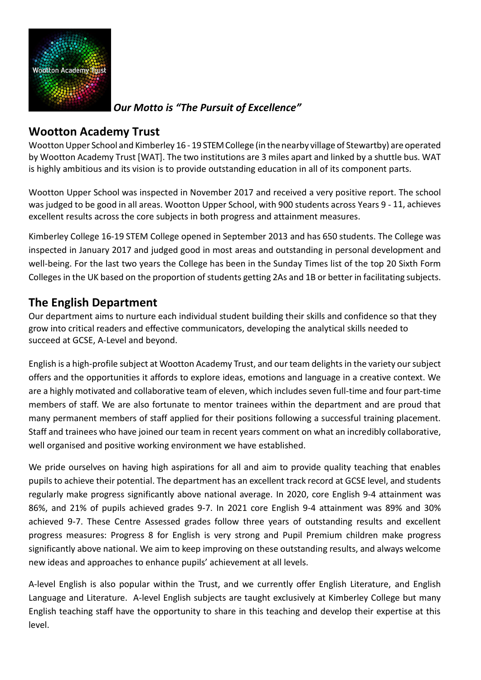

*Our Motto is "The Pursuit of Excellence"*

## **Wootton Academy Trust**

Wootton Upper School and Kimberley 16 - 19 STEM College (in the nearby village of Stewartby) are operated by Wootton Academy Trust [WAT]. The two institutions are 3 miles apart and linked by a shuttle bus. WAT is highly ambitious and its vision is to provide outstanding education in all of its component parts.

Wootton Upper School was inspected in November 2017 and received a very positive report. The school was judged to be good in all areas. Wootton Upper School, with 900 students across Years 9 - 11, achieves excellent results across the core subjects in both progress and attainment measures.

Kimberley College 16-19 STEM College opened in September 2013 and has 650 students. The College was inspected in January 2017 and judged good in most areas and outstanding in personal development and well-being. For the last two years the College has been in the Sunday Times list of the top 20 Sixth Form Colleges in the UK based on the proportion of students getting 2As and 1B or better in facilitating subjects.

## **The English Department**

Our department aims to nurture each individual student building their skills and confidence so that they grow into critical readers and effective communicators, developing the analytical skills needed to succeed at GCSE, A-Level and beyond.

English is a high-profile subject at Wootton Academy Trust, and our team delights in the variety our subject offers and the opportunities it affords to explore ideas, emotions and language in a creative context. We are a highly motivated and collaborative team of eleven, which includes seven full-time and four part-time members of staff. We are also fortunate to mentor trainees within the department and are proud that many permanent members of staff applied for their positions following a successful training placement. Staff and trainees who have joined our team in recent years comment on what an incredibly collaborative, well organised and positive working environment we have established.

We pride ourselves on having high aspirations for all and aim to provide quality teaching that enables pupils to achieve their potential. The department has an excellent track record at GCSE level, and students regularly make progress significantly above national average. In 2020, core English 9-4 attainment was 86%, and 21% of pupils achieved grades 9-7. In 2021 core English 9-4 attainment was 89% and 30% achieved 9-7. These Centre Assessed grades follow three years of outstanding results and excellent progress measures: Progress 8 for English is very strong and Pupil Premium children make progress significantly above national. We aim to keep improving on these outstanding results, and always welcome new ideas and approaches to enhance pupils' achievement at all levels.

A-level English is also popular within the Trust, and we currently offer English Literature, and English Language and Literature. A-level English subjects are taught exclusively at Kimberley College but many English teaching staff have the opportunity to share in this teaching and develop their expertise at this level.